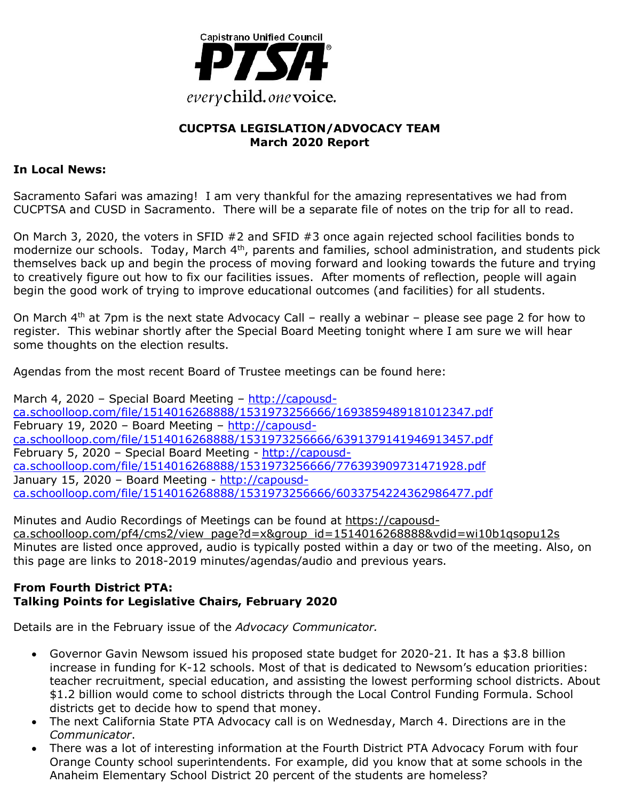

## **CUCPTSA LEGISLATION/ADVOCACY TEAM March 2020 Report**

## **In Local News:**

Sacramento Safari was amazing! I am very thankful for the amazing representatives we had from CUCPTSA and CUSD in Sacramento. There will be a separate file of notes on the trip for all to read.

On March 3, 2020, the voters in SFID #2 and SFID #3 once again rejected school facilities bonds to modernize our schools. Today, March 4<sup>th</sup>, parents and families, school administration, and students pick themselves back up and begin the process of moving forward and looking towards the future and trying to creatively figure out how to fix our facilities issues. After moments of reflection, people will again begin the good work of trying to improve educational outcomes (and facilities) for all students.

On March  $4<sup>th</sup>$  at 7pm is the next state Advocacy Call – really a webinar – please see page 2 for how to register. This webinar shortly after the Special Board Meeting tonight where I am sure we will hear some thoughts on the election results.

Agendas from the most recent Board of Trustee meetings can be found here:

March 4, 2020 – Special Board Meeting – http://capousdca.schoolloop.com/file/1514016268888/1531973256666/1693859489181012347.pdf February 19, 2020 – Board Meeting – http://capousdca.schoolloop.com/file/1514016268888/1531973256666/6391379141946913457.pdf February 5, 2020 – Special Board Meeting - http://capousdca.schoolloop.com/file/1514016268888/1531973256666/776393909731471928.pdf January 15, 2020 – Board Meeting - http://capousdca.schoolloop.com/file/1514016268888/1531973256666/6033754224362986477.pdf

Minutes and Audio Recordings of Meetings can be found at https://capousdca.schoolloop.com/pf4/cms2/view\_page?d=x&group\_id=1514016268888&vdid=wi10b1qsopu12s Minutes are listed once approved, audio is typically posted within a day or two of the meeting. Also, on this page are links to 2018-2019 minutes/agendas/audio and previous years.

#### **From Fourth District PTA: Talking Points for Legislative Chairs, February 2020**

Details are in the February issue of the *Advocacy Communicator.*

- Governor Gavin Newsom issued his proposed state budget for 2020-21. It has a \$3.8 billion increase in funding for K-12 schools. Most of that is dedicated to Newsom's education priorities: teacher recruitment, special education, and assisting the lowest performing school districts. About \$1.2 billion would come to school districts through the Local Control Funding Formula. School districts get to decide how to spend that money.
- The next California State PTA Advocacy call is on Wednesday, March 4. Directions are in the *Communicator*.
- There was a lot of interesting information at the Fourth District PTA Advocacy Forum with four Orange County school superintendents. For example, did you know that at some schools in the Anaheim Elementary School District 20 percent of the students are homeless?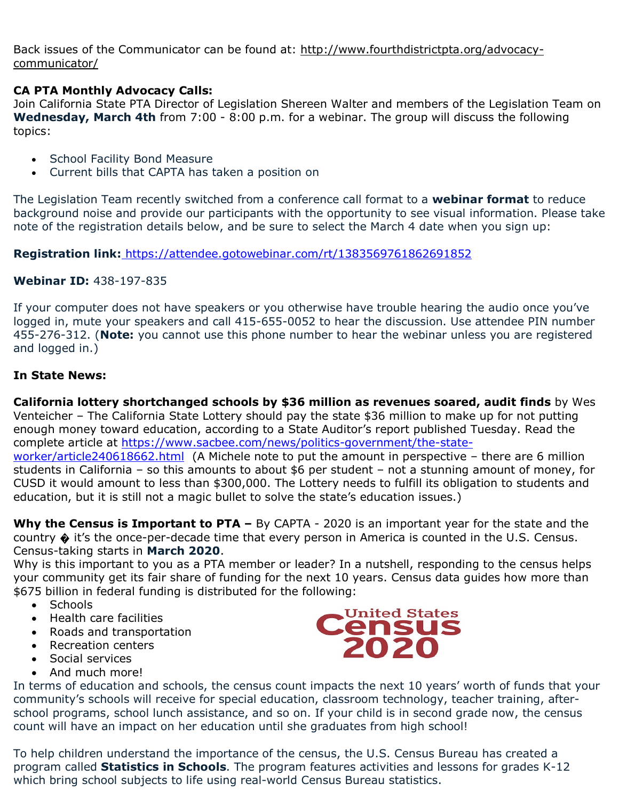Back issues of the Communicator can be found at: http://www.fourthdistrictpta.org/advocacycommunicator/

## **CA PTA Monthly Advocacy Calls:**

Join California State PTA Director of Legislation Shereen Walter and members of the Legislation Team on **Wednesday, March 4th** from 7:00 - 8:00 p.m. for a webinar. The group will discuss the following topics:

- School Facility Bond Measure
- Current bills that CAPTA has taken a position on

The Legislation Team recently switched from a conference call format to a **webinar format** to reduce background noise and provide our participants with the opportunity to see visual information. Please take note of the registration details below, and be sure to select the March 4 date when you sign up:

**Registration link:** https://attendee.gotowebinar.com/rt/1383569761862691852

## **Webinar ID:** 438-197-835

If your computer does not have speakers or you otherwise have trouble hearing the audio once you've logged in, mute your speakers and call 415-655-0052 to hear the discussion. Use attendee PIN number 455-276-312. (**Note:** you cannot use this phone number to hear the webinar unless you are registered and logged in.)

## **In State News:**

**California lottery shortchanged schools by \$36 million as revenues soared, audit finds** by Wes Venteicher – The California State Lottery should pay the state \$36 million to make up for not putting enough money toward education, according to a State Auditor's report published Tuesday. Read the complete article at https://www.sacbee.com/news/politics-government/the-state-

worker/article240618662.html (A Michele note to put the amount in perspective – there are 6 million students in California – so this amounts to about \$6 per student – not a stunning amount of money, for CUSD it would amount to less than \$300,000. The Lottery needs to fulfill its obligation to students and education, but it is still not a magic bullet to solve the state's education issues.)

**Why the Census is Important to PTA –** By CAPTA - 2020 is an important year for the state and the country � it's the once-per-decade time that every person in America is counted in the U.S. Census. Census-taking starts in **March 2020**.

Why is this important to you as a PTA member or leader? In a nutshell, responding to the census helps your community get its fair share of funding for the next 10 years. Census data guides how more than \$675 billion in federal funding is distributed for the following:

- Schools
- Health care facilities
- Roads and transportation
- Recreation centers
- Social services
- And much more!

Census<br>
2020

In terms of education and schools, the census count impacts the next 10 years' worth of funds that your community's schools will receive for special education, classroom technology, teacher training, afterschool programs, school lunch assistance, and so on. If your child is in second grade now, the census count will have an impact on her education until she graduates from high school!

To help children understand the importance of the census, the U.S. Census Bureau has created a program called **Statistics in Schools**. The program features activities and lessons for grades K-12 which bring school subjects to life using real-world Census Bureau statistics.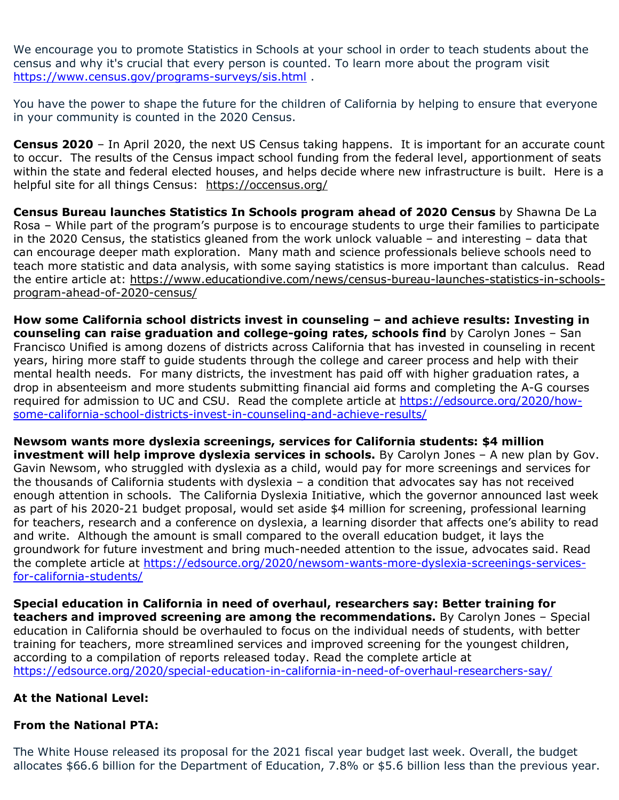We encourage you to promote Statistics in Schools at your school in order to teach students about the census and why it's crucial that every person is counted. To learn more about the program visit https://www.census.gov/programs-surveys/sis.html .

You have the power to shape the future for the children of California by helping to ensure that everyone in your community is counted in the 2020 Census.

**Census 2020** – In April 2020, the next US Census taking happens. It is important for an accurate count to occur. The results of the Census impact school funding from the federal level, apportionment of seats within the state and federal elected houses, and helps decide where new infrastructure is built. Here is a helpful site for all things Census: https://occensus.org/

**Census Bureau launches Statistics In Schools program ahead of 2020 Census** by Shawna De La Rosa – While part of the program's purpose is to encourage students to urge their families to participate in the 2020 Census, the statistics gleaned from the work unlock valuable – and interesting – data that can encourage deeper math exploration. Many math and science professionals believe schools need to teach more statistic and data analysis, with some saying statistics is more important than calculus. Read the entire article at: https://www.educationdive.com/news/census-bureau-launches-statistics-in-schoolsprogram-ahead-of-2020-census/

**How some California school districts invest in counseling – and achieve results: Investing in counseling can raise graduation and college-going rates, schools find** by Carolyn Jones – San Francisco Unified is among dozens of districts across California that has invested in counseling in recent years, hiring more staff to guide students through the college and career process and help with their mental health needs. For many districts, the investment has paid off with higher graduation rates, a drop in absenteeism and more students submitting financial aid forms and completing the A-G courses required for admission to UC and CSU. Read the complete article at https://edsource.org/2020/howsome-california-school-districts-invest-in-counseling-and-achieve-results/

**Newsom wants more dyslexia screenings, services for California students: \$4 million investment will help improve dyslexia services in schools.** By Carolyn Jones - A new plan by Gov. Gavin Newsom, who struggled with dyslexia as a child, would pay for more screenings and services for the thousands of California students with dyslexia – a condition that advocates say has not received enough attention in schools. The California Dyslexia Initiative, which the governor announced last week as part of his 2020-21 budget proposal, would set aside \$4 million for screening, professional learning for teachers, research and a conference on dyslexia, a learning disorder that affects one's ability to read and write. Although the amount is small compared to the overall education budget, it lays the groundwork for future investment and bring much-needed attention to the issue, advocates said. Read the complete article at https://edsource.org/2020/newsom-wants-more-dyslexia-screenings-servicesfor-california-students/

**Special education in California in need of overhaul, researchers say: Better training for teachers and improved screening are among the recommendations.** By Carolyn Jones – Special education in California should be overhauled to focus on the individual needs of students, with better training for teachers, more streamlined services and improved screening for the youngest children, according to a compilation of reports released today. Read the complete article at https://edsource.org/2020/special-education-in-california-in-need-of-overhaul-researchers-say/

### **At the National Level:**

## **From the National PTA:**

The White House released its proposal for the 2021 fiscal year budget last week. Overall, the budget allocates \$66.6 billion for the Department of Education, 7.8% or \$5.6 billion less than the previous year.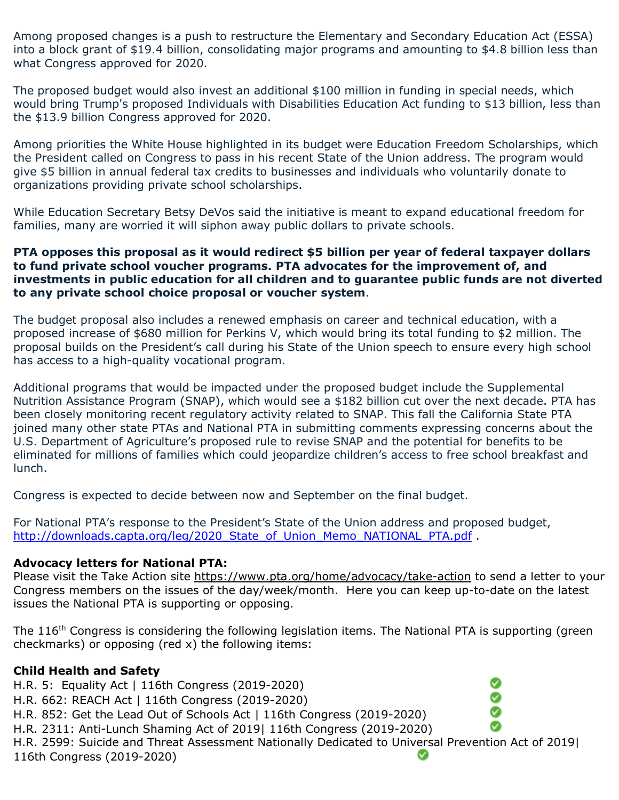Among proposed changes is a push to restructure the Elementary and Secondary Education Act (ESSA) into a block grant of \$19.4 billion, consolidating major programs and amounting to \$4.8 billion less than what Congress approved for 2020.

The proposed budget would also invest an additional \$100 million in funding in special needs, which would bring Trump's proposed Individuals with Disabilities Education Act funding to \$13 billion, less than the \$13.9 billion Congress approved for 2020.

Among priorities the White House highlighted in its budget were Education Freedom Scholarships, which the President called on Congress to pass in his recent State of the Union address. The program would give \$5 billion in annual federal tax credits to businesses and individuals who voluntarily donate to organizations providing private school scholarships.

While Education Secretary Betsy DeVos said the initiative is meant to expand educational freedom for families, many are worried it will siphon away public dollars to private schools.

#### **PTA opposes this proposal as it would redirect \$5 billion per year of federal taxpayer dollars to fund private school voucher programs. PTA advocates for the improvement of, and investments in public education for all children and to guarantee public funds are not diverted to any private school choice proposal or voucher system**.

The budget proposal also includes a renewed emphasis on career and technical education, with a proposed increase of \$680 million for Perkins V, which would bring its total funding to \$2 million. The proposal builds on the President's call during his State of the Union speech to ensure every high school has access to a high-quality vocational program.

Additional programs that would be impacted under the proposed budget include the Supplemental Nutrition Assistance Program (SNAP), which would see a \$182 billion cut over the next decade. PTA has been closely monitoring recent regulatory activity related to SNAP. This fall the California State PTA joined many other state PTAs and National PTA in submitting comments expressing concerns about the U.S. Department of Agriculture's proposed rule to revise SNAP and the potential for benefits to be eliminated for millions of families which could jeopardize children's access to free school breakfast and lunch.

Congress is expected to decide between now and September on the final budget.

For National PTA's response to the President's State of the Union address and proposed budget, http://downloads.capta.org/leg/2020\_State\_of\_Union\_Memo\_NATIONAL\_PTA.pdf .

#### **Advocacy letters for National PTA:**

Please visit the Take Action site https://www.pta.org/home/advocacy/take-action to send a letter to your Congress members on the issues of the day/week/month. Here you can keep up-to-date on the latest issues the National PTA is supporting or opposing.

The 116<sup>th</sup> Congress is considering the following legislation items. The National PTA is supporting (green checkmarks) or opposing (red x) the following items:

> Ø Ø Ø

### **Child Health and Safety**

H.R. 5: Equality Act | 116th Congress (2019-2020)

- H.R. 662: REACH Act | 116th Congress (2019-2020)
- H.R. 852: Get the Lead Out of Schools Act | 116th Congress (2019-2020)

H.R. 2311: Anti-Lunch Shaming Act of 2019| 116th Congress (2019-2020)

H.R. 2599: Suicide and Threat Assessment Nationally Dedicated to Universal Prevention Act of 2019| 116th Congress (2019-2020)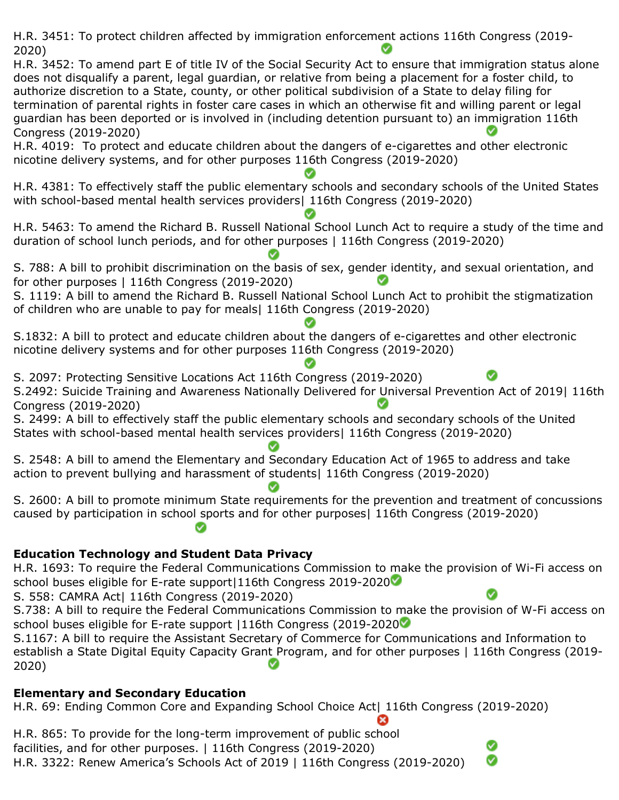H.R. 3451: To protect children affected by immigration enforcement actions 116th Congress (2019- 2020) H.R. 3452: To amend part E of title IV of the Social Security Act to ensure that immigration status alone does not disqualify a parent, legal guardian, or relative from being a placement for a foster child, to authorize discretion to a State, county, or other political subdivision of a State to delay filing for termination of parental rights in foster care cases in which an otherwise fit and willing parent or legal guardian has been deported or is involved in (including detention pursuant to) an immigration 116th Congress (2019-2020) H.R. 4019: To protect and educate children about the dangers of e-cigarettes and other electronic nicotine delivery systems, and for other purposes 116th Congress (2019-2020) H.R. 4381: To effectively staff the public elementary schools and secondary schools of the United States with school-based mental health services providers| 116th Congress (2019-2020) H.R. 5463: To amend the Richard B. Russell National School Lunch Act to require a study of the time and duration of school lunch periods, and for other purposes | 116th Congress (2019-2020) S. 788: A bill to prohibit discrimination on the basis of sex, gender identity, and sexual orientation, and for other purposes | 116th Congress (2019-2020) S. 1119: A bill to amend the Richard B. Russell National School Lunch Act to prohibit the stigmatization of children who are unable to pay for meals| 116th Congress (2019-2020) S.1832: A bill to protect and educate children about the dangers of e-cigarettes and other electronic nicotine delivery systems and for other purposes 116th Congress (2019-2020) S. 2097: Protecting Sensitive Locations Act 116th Congress (2019-2020) S.2492: Suicide Training and Awareness Nationally Delivered for Universal Prevention Act of 2019| 116th Congress (2019-2020) S. 2499: A bill to effectively staff the public elementary schools and secondary schools of the United States with school-based mental health services providers| 116th Congress (2019-2020) S. 2548: A bill to amend the Elementary and Secondary Education Act of 1965 to address and take action to prevent bullying and harassment of students| 116th Congress (2019-2020) S. 2600: A bill to promote minimum State requirements for the prevention and treatment of concussions caused by participation in school sports and for other purposes| 116th Congress (2019-2020) **Education Technology and Student Data Privacy** H.R. 1693: To require the Federal Communications Commission to make the provision of Wi-Fi access on school buses eligible for E-rate support 116th Congress 2019-2020 S. 558: CAMRA Act| 116th Congress (2019-2020) S.738: A bill to require the Federal Communications Commission to make the provision of W-Fi access on school buses eligible for E-rate support | 116th Congress (2019-2020

S.1167: A bill to require the Assistant Secretary of Commerce for Communications and Information to establish a State Digital Equity Capacity Grant Program, and for other purposes | 116th Congress (2019- 2020)

Ø

## **Elementary and Secondary Education**

H.R. 69: Ending Common Core and Expanding School Choice Act| 116th Congress (2019-2020)

H.R. 865: To provide for the long-term improvement of public school facilities, and for other purposes. | 116th Congress (2019-2020) H.R. 3322: Renew America's Schools Act of 2019 | 116th Congress (2019-2020)